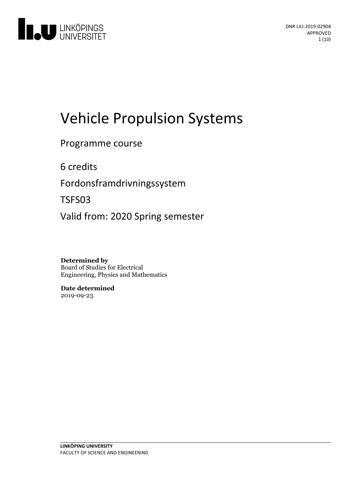

# Vehicle Propulsion Systems

Programme course

6 credits

Fordonsframdrivningssystem

TSFS03

Valid from: 2020 Spring semester

**Determined by** Board of Studies for Electrical Engineering, Physics and Mathematics

**Date determined** 2019-09-23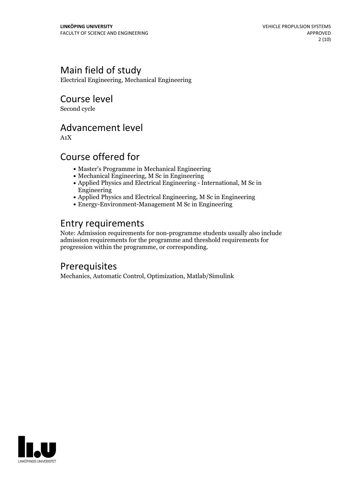# Main field of study

Electrical Engineering, Mechanical Engineering

### Course level

Second cycle

### Advancement level

A1X

# Course offered for

- Master's Programme in Mechanical Engineering
- Mechanical Engineering, M Sc in Engineering
- Applied Physics and Electrical Engineering International, M Sc in Engineering
- Applied Physics and Electrical Engineering, M Sc in Engineering
- Energy-Environment-Management M Sc in Engineering

# Entry requirements

Note: Admission requirements for non-programme students usually also include admission requirements for the programme and threshold requirements for progression within the programme, or corresponding.

# Prerequisites

Mechanics, Automatic Control, Optimization, Matlab/Simulink

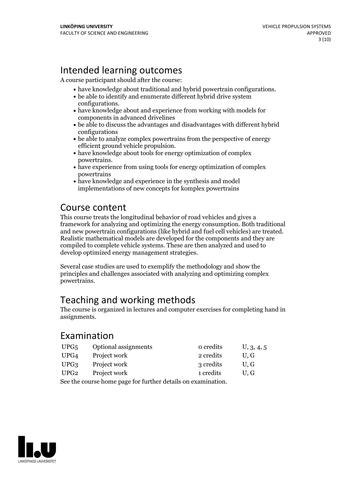# Intended learning outcomes

A course participant should after the course:

- have knowledge about traditional and hybrid powertrain configurations. be able to identify and enumerate different hybrid drive system
- 
- configurations.<br>• have knowledge about and experience from working with models for components in advanced drivelines
- be able to discuss the advantages and disadvantages with different hybrid configurations
- be able to analyze complex powertrains from the perspective of energy
- $\bullet$  have knowledge about tools for energy optimization of complex
- powertrains.<br>• have experience from using tools for energy optimization of complex powertrains
- have knowledge and experience in the synthesis and model implementations of new concepts for komplex powertrains

### Course content

This course treats the longitudinal behavior of road vehicles and gives a framework for analyzing and optimizing the energy consumption. Both traditional and new powertrain configurations (like hybrid and fuel cell vehicles) are treated. Realistic mathematical models are developed for the components and they are compiled to complete vehicle systems. These are then analyzed and used to develop optimized energy management strategies.

Several case studies are used to exemplify the methodology and show the principles and challenges associated with analyzing and optimizing complex powertrains.

# Teaching and working methods

The course is organized in lectures and computer exercises for completing hand in assignments.

### Examination

| UPG <sub>5</sub>                                             | <b>Optional assignments</b> | o credits | U, 3, 4, 5 |
|--------------------------------------------------------------|-----------------------------|-----------|------------|
| UPG4                                                         | Project work                | 2 credits | U.G        |
| UPG <sub>3</sub>                                             | Project work                | 3 credits | U.G        |
| UPG <sub>2</sub>                                             | Project work                | 1 credits | U.G        |
| Cas the course home nego for further details on growing tion |                             |           |            |

See the course home page for further details on examination.

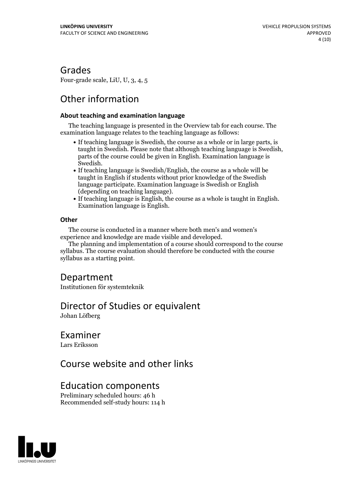### Grades

Four-grade scale, LiU, U, 3, 4, 5

# Other information

#### **About teaching and examination language**

The teaching language is presented in the Overview tab for each course. The examination language relates to the teaching language as follows:

- If teaching language is Swedish, the course as a whole or in large parts, is taught in Swedish. Please note that although teaching language is Swedish, parts of the course could be given in English. Examination language is
- Swedish.<br>• If teaching language is Swedish/English, the course as a whole will be taught in English if students without prior knowledge of the Swedish language participate. Examination language is Swedish or English
- (depending on teaching language).<br>• If teaching language is English, the course as a whole is taught in English.<br>Examination language is English.

#### **Other**

The course is conducted in a manner where both men's and women's

The planning and implementation of a course should correspond to the course syllabus. The course evaluation should therefore be conducted with the course syllabus as a starting point.

### Department

Institutionen för systemteknik

### Director of Studies or equivalent

Johan Löfberg

### Examiner

Lars Eriksson

### Course website and other links

### Education components

Preliminary scheduled hours: 46 h Recommended self-study hours: 114 h

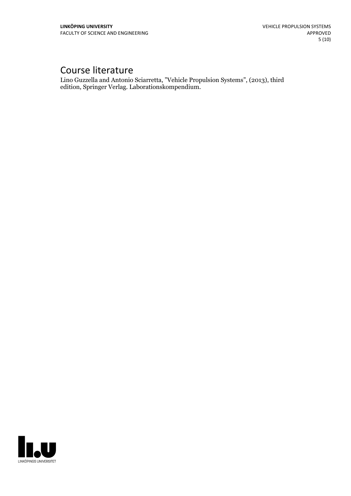# Course literature

Lino Guzzella and Antonio Sciarretta, "Vehicle Propulsion Systems", (2013), third edition, Springer Verlag. Laborationskompendium.

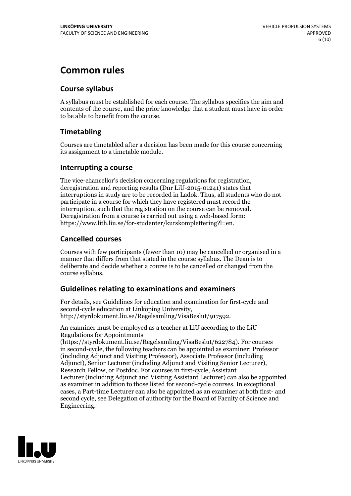# **Common rules**

#### **Course syllabus**

A syllabus must be established for each course. The syllabus specifies the aim and contents of the course, and the prior knowledge that a student must have in order to be able to benefit from the course.

### **Timetabling**

Courses are timetabled after a decision has been made for this course concerning its assignment to a timetable module.

#### **Interrupting a course**

The vice-chancellor's decision concerning regulations for registration, deregistration and reporting results (Dnr LiU-2015-01241) states that interruptions in study are to be recorded in Ladok. Thus, all students who do not participate in a course for which they have registered must record the interruption, such that the registration on the course can be removed. Deregistration from <sup>a</sup> course is carried outusing <sup>a</sup> web-based form: https://www.lith.liu.se/for-studenter/kurskomplettering?l=en.

### **Cancelled courses**

Courses with few participants (fewer than 10) may be cancelled or organised in a manner that differs from that stated in the course syllabus. The Dean is to deliberate and decide whether a course is to be cancelled or changed from the course syllabus.

### **Guidelines relatingto examinations and examiners**

For details, see Guidelines for education and examination for first-cycle and second-cycle education at Linköping University, http://styrdokument.liu.se/Regelsamling/VisaBeslut/917592.

An examiner must be employed as a teacher at LiU according to the LiU Regulations for Appointments

(https://styrdokument.liu.se/Regelsamling/VisaBeslut/622784). For courses in second-cycle, the following teachers can be appointed as examiner: Professor (including Adjunct and Visiting Professor), Associate Professor (including Adjunct), Senior Lecturer (including Adjunct and Visiting Senior Lecturer), Research Fellow, or Postdoc. For courses in first-cycle, Assistant Lecturer (including Adjunct and Visiting Assistant Lecturer) can also be appointed as examiner in addition to those listed for second-cycle courses. In exceptional cases, a Part-time Lecturer can also be appointed as an examiner at both first- and second cycle, see Delegation of authority for the Board of Faculty of Science and Engineering.

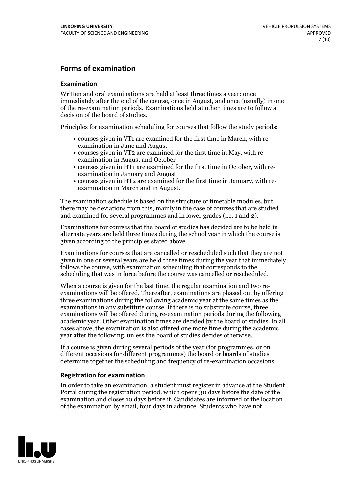#### **Forms of examination**

#### **Examination**

Written and oral examinations are held at least three times a year: once immediately after the end of the course, once in August, and once (usually) in one of the re-examination periods. Examinations held at other times are to follow a decision of the board of studies.

Principles for examination scheduling for courses that follow the study periods:

- courses given in VT1 are examined for the first time in March, with re-examination in June and August
- courses given in VT2 are examined for the first time in May, with re-examination in August and October
- courses given in HT1 are examined for the first time in October, with re-examination in January and August
- courses given in HT2 are examined for the first time in January, with re-examination in March and in August.

The examination schedule is based on the structure of timetable modules, but there may be deviations from this, mainly in the case of courses that are studied and examined for several programmes and in lower grades (i.e. 1 and 2).

Examinations for courses that the board of studies has decided are to be held in alternate years are held three times during the school year in which the course is given according to the principles stated above.

Examinations for courses that are cancelled orrescheduled such that they are not given in one or several years are held three times during the year that immediately follows the course, with examination scheduling that corresponds to the scheduling that was in force before the course was cancelled or rescheduled.

When a course is given for the last time, the regular examination and two re-<br>examinations will be offered. Thereafter, examinations are phased out by offering three examinations during the following academic year at the same times as the examinations in any substitute course. If there is no substitute course, three examinations will be offered during re-examination periods during the following academic year. Other examination times are decided by the board of studies. In all cases above, the examination is also offered one more time during the academic year after the following, unless the board of studies decides otherwise.

If a course is given during several periods of the year (for programmes, or on different occasions for different programmes) the board or boards of studies determine together the scheduling and frequency of re-examination occasions.

#### **Registration for examination**

In order to take an examination, a student must register in advance at the Student Portal during the registration period, which opens 30 days before the date of the examination and closes 10 days before it. Candidates are informed of the location of the examination by email, four days in advance. Students who have not

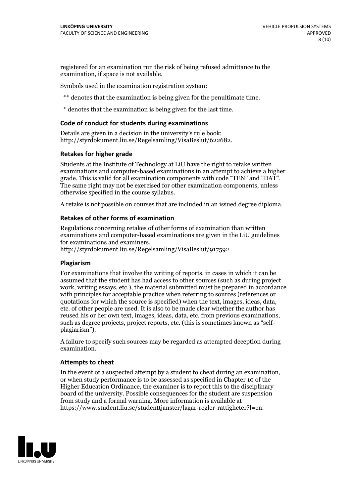registered for an examination run the risk of being refused admittance to the examination, if space is not available.

Symbols used in the examination registration system:

\*\* denotes that the examination is being given for the penultimate time.

\* denotes that the examination is being given for the last time.

#### **Code of conduct for students during examinations**

Details are given in a decision in the university's rule book: http://styrdokument.liu.se/Regelsamling/VisaBeslut/622682.

#### **Retakes for higher grade**

Students at the Institute of Technology at LiU have the right to retake written examinations and computer-based examinations in an attempt to achieve a higher grade. This is valid for all examination components with code "TEN" and "DAT". The same right may not be exercised for other examination components, unless otherwise specified in the course syllabus.

A retake is not possible on courses that are included in an issued degree diploma.

#### **Retakes of other forms of examination**

Regulations concerning retakes of other forms of examination than written examinations and computer-based examinations are given in the LiU guidelines

http://styrdokument.liu.se/Regelsamling/VisaBeslut/917592.

#### **Plagiarism**

For examinations that involve the writing of reports, in cases in which it can be assumed that the student has had access to other sources (such as during project work, writing essays, etc.), the material submitted must be prepared in accordance with principles for acceptable practice when referring to sources (references or quotations for which the source is specified) when the text, images, ideas, data,  $\vec{e}$  etc. of other people are used. It is also to be made clear whether the author has reused his or her own text, images, ideas, data, etc. from previous examinations, such as degree projects, project reports, etc. (this is sometimes known as "self- plagiarism").

A failure to specify such sources may be regarded as attempted deception during examination.

#### **Attempts to cheat**

In the event of <sup>a</sup> suspected attempt by <sup>a</sup> student to cheat during an examination, or when study performance is to be assessed as specified in Chapter <sup>10</sup> of the Higher Education Ordinance, the examiner is to report this to the disciplinary board of the university. Possible consequences for the student are suspension from study and a formal warning. More information is available at https://www.student.liu.se/studenttjanster/lagar-regler-rattigheter?l=en.

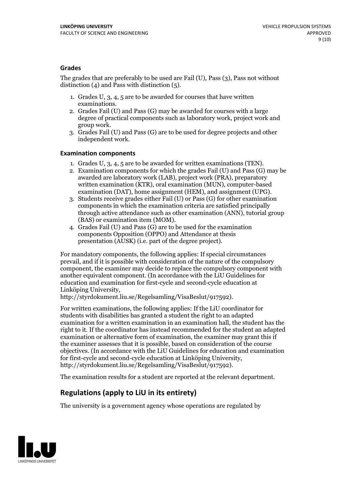#### **Grades**

The grades that are preferably to be used are Fail (U), Pass (3), Pass not without distinction  $(4)$  and Pass with distinction  $(5)$ .

- 1. Grades U, 3, 4, 5 are to be awarded for courses that have written
- examinations. 2. Grades Fail (U) and Pass (G) may be awarded for courses with <sup>a</sup> large degree of practical components such as laboratory work, project work and group work. 3. Grades Fail (U) and Pass (G) are to be used for degree projects and other
- independent work.

#### **Examination components**

- 
- 1. Grades U, 3, 4, <sup>5</sup> are to be awarded for written examinations (TEN). 2. Examination components for which the grades Fail (U) and Pass (G) may be awarded are laboratory work (LAB), project work (PRA), preparatory written examination (KTR), oral examination (MUN), computer-based
- examination (DAT), home assignment (HEM), and assignment (UPG). 3. Students receive grades either Fail (U) or Pass (G) for other examination components in which the examination criteria are satisfied principally through active attendance such as other examination (ANN), tutorial group (BAS) or examination item (MOM). 4. Grades Fail (U) and Pass (G) are to be used for the examination
- components Opposition (OPPO) and Attendance at thesis presentation (AUSK) (i.e. part of the degree project).

For mandatory components, the following applies: If special circumstances prevail, and if it is possible with consideration of the nature of the compulsory component, the examiner may decide to replace the compulsory component with another equivalent component. (In accordance with the LiU Guidelines for education and examination for first-cycle and second-cycle education at Linköping University, http://styrdokument.liu.se/Regelsamling/VisaBeslut/917592).

For written examinations, the following applies: If the LiU coordinator for students with disabilities has granted a student the right to an adapted examination for a written examination in an examination hall, the student has the right to it. If the coordinator has instead recommended for the student an adapted examination or alternative form of examination, the examiner may grant this if the examiner assesses that it is possible, based on consideration of the course objectives. (In accordance with the LiU Guidelines for education and examination for first-cycle and second-cycle education at Linköping University, http://styrdokument.liu.se/Regelsamling/VisaBeslut/917592).

The examination results for a student are reported at the relevant department.

### **Regulations (applyto LiU in its entirety)**

The university is a government agency whose operations are regulated by